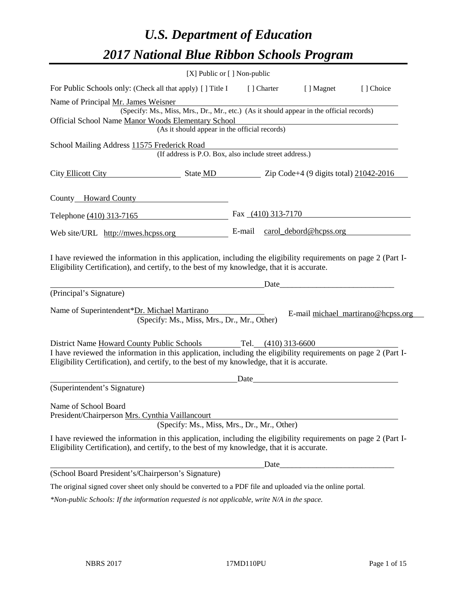# *U.S. Department of Education 2017 National Blue Ribbon Schools Program*

|                                                                                                                                                                                                                                                                                | [X] Public or [] Non-public |                      |                               |                                    |
|--------------------------------------------------------------------------------------------------------------------------------------------------------------------------------------------------------------------------------------------------------------------------------|-----------------------------|----------------------|-------------------------------|------------------------------------|
| For Public Schools only: (Check all that apply) [ ] Title I                                                                                                                                                                                                                    |                             | [] Charter           | [ ] Magnet                    | [] Choice                          |
| Name of Principal Mr. James Weisner                                                                                                                                                                                                                                            |                             |                      |                               |                                    |
| (Specify: Ms., Miss, Mrs., Dr., Mr., etc.) (As it should appear in the official records)                                                                                                                                                                                       |                             |                      |                               |                                    |
| Official School Name Manor Woods Elementary School<br>(As it should appear in the official records)                                                                                                                                                                            |                             |                      |                               |                                    |
|                                                                                                                                                                                                                                                                                |                             |                      |                               |                                    |
| School Mailing Address 11575 Frederick Road<br>(If address is P.O. Box, also include street address.)                                                                                                                                                                          |                             |                      |                               |                                    |
| City Ellicott City State MD Zip Code+4 (9 digits total) 21042-2016                                                                                                                                                                                                             |                             |                      |                               |                                    |
| County <b>__Howard County</b>                                                                                                                                                                                                                                                  |                             |                      |                               |                                    |
| Telephone (410) 313-7165                                                                                                                                                                                                                                                       |                             | Fax $(410)$ 313-7170 |                               |                                    |
| Web site/URL http://mwes.hcpss.org                                                                                                                                                                                                                                             |                             |                      | E-mail carol_debord@hcpss.org |                                    |
| Eligibility Certification), and certify, to the best of my knowledge, that it is accurate.<br>(Principal's Signature)                                                                                                                                                          |                             | Date                 |                               |                                    |
| Name of Superintendent*Dr. Michael Martirano<br>(Specify: Ms., Miss, Mrs., Dr., Mr., Other)                                                                                                                                                                                    |                             |                      |                               | E-mail michael_martirano@hcpss.org |
| District Name Howard County Public Schools Tel. (410) 313-6600<br>I have reviewed the information in this application, including the eligibility requirements on page 2 (Part I-<br>Eligibility Certification), and certify, to the best of my knowledge, that it is accurate. |                             |                      |                               |                                    |
|                                                                                                                                                                                                                                                                                | Date                        |                      |                               |                                    |
| (Superintendent's Signature)                                                                                                                                                                                                                                                   |                             |                      |                               |                                    |
| Name of School Board<br>President/Chairperson Mrs. Cynthia Vaillancourt<br>(Specify: Ms., Miss, Mrs., Dr., Mr., Other)                                                                                                                                                         |                             |                      |                               |                                    |
| I have reviewed the information in this application, including the eligibility requirements on page 2 (Part I-<br>Eligibility Certification), and certify, to the best of my knowledge, that it is accurate.                                                                   |                             |                      |                               |                                    |
|                                                                                                                                                                                                                                                                                |                             | Date                 |                               |                                    |
| (School Board President's/Chairperson's Signature)                                                                                                                                                                                                                             |                             |                      |                               |                                    |
| The original signed cover sheet only should be converted to a PDF file and uploaded via the online portal.                                                                                                                                                                     |                             |                      |                               |                                    |

*\*Non-public Schools: If the information requested is not applicable, write N/A in the space.*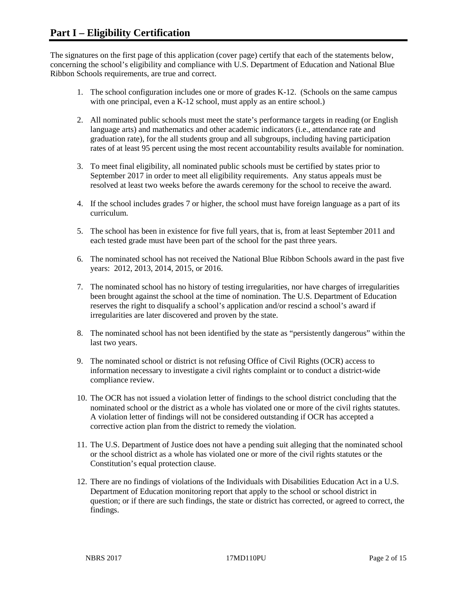The signatures on the first page of this application (cover page) certify that each of the statements below, concerning the school's eligibility and compliance with U.S. Department of Education and National Blue Ribbon Schools requirements, are true and correct.

- 1. The school configuration includes one or more of grades K-12. (Schools on the same campus with one principal, even a K-12 school, must apply as an entire school.)
- 2. All nominated public schools must meet the state's performance targets in reading (or English language arts) and mathematics and other academic indicators (i.e., attendance rate and graduation rate), for the all students group and all subgroups, including having participation rates of at least 95 percent using the most recent accountability results available for nomination.
- 3. To meet final eligibility, all nominated public schools must be certified by states prior to September 2017 in order to meet all eligibility requirements. Any status appeals must be resolved at least two weeks before the awards ceremony for the school to receive the award.
- 4. If the school includes grades 7 or higher, the school must have foreign language as a part of its curriculum.
- 5. The school has been in existence for five full years, that is, from at least September 2011 and each tested grade must have been part of the school for the past three years.
- 6. The nominated school has not received the National Blue Ribbon Schools award in the past five years: 2012, 2013, 2014, 2015, or 2016.
- 7. The nominated school has no history of testing irregularities, nor have charges of irregularities been brought against the school at the time of nomination. The U.S. Department of Education reserves the right to disqualify a school's application and/or rescind a school's award if irregularities are later discovered and proven by the state.
- 8. The nominated school has not been identified by the state as "persistently dangerous" within the last two years.
- 9. The nominated school or district is not refusing Office of Civil Rights (OCR) access to information necessary to investigate a civil rights complaint or to conduct a district-wide compliance review.
- 10. The OCR has not issued a violation letter of findings to the school district concluding that the nominated school or the district as a whole has violated one or more of the civil rights statutes. A violation letter of findings will not be considered outstanding if OCR has accepted a corrective action plan from the district to remedy the violation.
- 11. The U.S. Department of Justice does not have a pending suit alleging that the nominated school or the school district as a whole has violated one or more of the civil rights statutes or the Constitution's equal protection clause.
- 12. There are no findings of violations of the Individuals with Disabilities Education Act in a U.S. Department of Education monitoring report that apply to the school or school district in question; or if there are such findings, the state or district has corrected, or agreed to correct, the findings.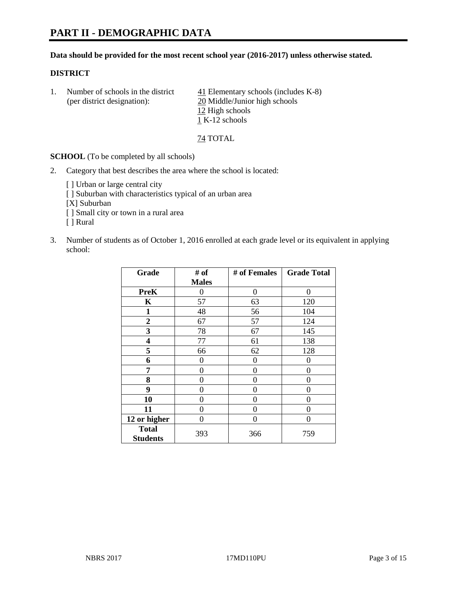# **PART II - DEMOGRAPHIC DATA**

#### **Data should be provided for the most recent school year (2016-2017) unless otherwise stated.**

#### **DISTRICT**

1. Number of schools in the district  $\frac{41}{41}$  Elementary schools (includes K-8) (per district designation): 20 Middle/Junior high schools 12 High schools 1 K-12 schools

74 TOTAL

**SCHOOL** (To be completed by all schools)

- 2. Category that best describes the area where the school is located:
	- [] Urban or large central city [ ] Suburban with characteristics typical of an urban area [X] Suburban [ ] Small city or town in a rural area [ ] Rural
- 3. Number of students as of October 1, 2016 enrolled at each grade level or its equivalent in applying school:

| Grade                           | # of         | # of Females | <b>Grade Total</b> |
|---------------------------------|--------------|--------------|--------------------|
|                                 | <b>Males</b> |              |                    |
| <b>PreK</b>                     | 0            | 0            | 0                  |
| K                               | 57           | 63           | 120                |
| 1                               | 48           | 56           | 104                |
| $\overline{2}$                  | 67           | 57           | 124                |
| 3                               | 78           | 67           | 145                |
| 4                               | 77           | 61           | 138                |
| 5                               | 66           | 62           | 128                |
| 6                               | 0            | 0            | 0                  |
| 7                               | 0            | 0            | 0                  |
| 8                               | 0            | 0            | 0                  |
| 9                               | 0            | 0            | 0                  |
| 10                              | $\theta$     | 0            | 0                  |
| 11                              | 0            | 0            | $\mathbf{\Omega}$  |
| 12 or higher                    | 0            | 0            | 0                  |
| <b>Total</b><br><b>Students</b> | 393          | 366          | 759                |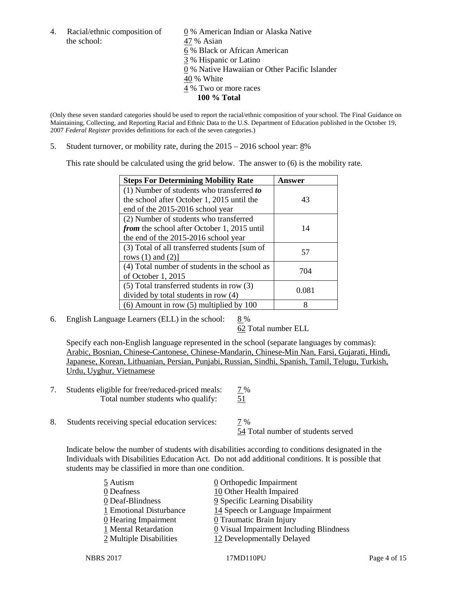the school: 47 % Asian

4. Racial/ethnic composition of  $\qquad 0 \%$  American Indian or Alaska Native 6 % Black or African American 3 % Hispanic or Latino 0 % Native Hawaiian or Other Pacific Islander 40 % White 4 % Two or more races **100 % Total**

(Only these seven standard categories should be used to report the racial/ethnic composition of your school. The Final Guidance on Maintaining, Collecting, and Reporting Racial and Ethnic Data to the U.S. Department of Education published in the October 19, 2007 *Federal Register* provides definitions for each of the seven categories.)

5. Student turnover, or mobility rate, during the 2015 – 2016 school year: 8%

This rate should be calculated using the grid below. The answer to (6) is the mobility rate.

| <b>Steps For Determining Mobility Rate</b>    | Answer |
|-----------------------------------------------|--------|
| (1) Number of students who transferred to     |        |
| the school after October 1, 2015 until the    | 43     |
| end of the 2015-2016 school year              |        |
| (2) Number of students who transferred        |        |
| from the school after October 1, 2015 until   | 14     |
| the end of the 2015-2016 school year          |        |
| (3) Total of all transferred students [sum of | 57     |
| rows $(1)$ and $(2)$ ]                        |        |
| (4) Total number of students in the school as | 704    |
| of October 1, 2015                            |        |
| $(5)$ Total transferred students in row $(3)$ | 0.081  |
| divided by total students in row (4)          |        |
| $(6)$ Amount in row $(5)$ multiplied by 100   | 8      |

6. English Language Learners (ELL) in the school:  $8\%$ 

62 Total number ELL

Specify each non-English language represented in the school (separate languages by commas): Arabic, Bosnian, Chinese-Cantonese, Chinese-Mandarin, Chinese-Min Nan, Farsi, Gujarati, Hindi, Japanese, Korean, Lithuanian, Persian, Punjabi, Russian, Sindhi, Spanish, Tamil, Telugu, Turkish, Urdu, Uyghur, Vietnamese

- 7. Students eligible for free/reduced-priced meals:  $\frac{7\%}{51}$ <br>Total number students who qualify:  $\frac{7\%}{51}$ Total number students who qualify:
- 8. Students receiving special education services: 7 %

54 Total number of students served

Indicate below the number of students with disabilities according to conditions designated in the Individuals with Disabilities Education Act. Do not add additional conditions. It is possible that students may be classified in more than one condition.

| 0 Orthopedic Impairment                               |
|-------------------------------------------------------|
| 10 Other Health Impaired                              |
| 9 Specific Learning Disability                        |
| 14 Speech or Language Impairment                      |
| 0 Traumatic Brain Injury                              |
| $\underline{0}$ Visual Impairment Including Blindness |
| 12 Developmentally Delayed                            |
|                                                       |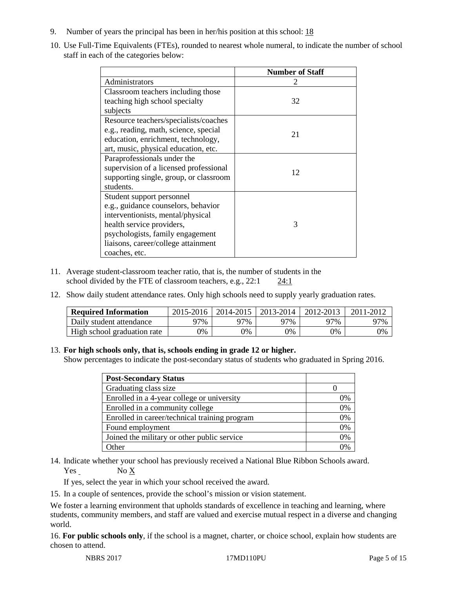- 9. Number of years the principal has been in her/his position at this school: 18
- 10. Use Full-Time Equivalents (FTEs), rounded to nearest whole numeral, to indicate the number of school staff in each of the categories below:

|                                        | <b>Number of Staff</b> |
|----------------------------------------|------------------------|
| Administrators                         |                        |
| Classroom teachers including those     |                        |
| teaching high school specialty         | 32                     |
| subjects                               |                        |
| Resource teachers/specialists/coaches  |                        |
| e.g., reading, math, science, special  | 21                     |
| education, enrichment, technology,     |                        |
| art, music, physical education, etc.   |                        |
| Paraprofessionals under the            |                        |
| supervision of a licensed professional | 12                     |
| supporting single, group, or classroom |                        |
| students.                              |                        |
| Student support personnel              |                        |
| e.g., guidance counselors, behavior    |                        |
| interventionists, mental/physical      |                        |
| health service providers,              | 3                      |
| psychologists, family engagement       |                        |
| liaisons, career/college attainment    |                        |
| coaches, etc.                          |                        |

- 11. Average student-classroom teacher ratio, that is, the number of students in the school divided by the FTE of classroom teachers, e.g., 22:1 24:1
- 12. Show daily student attendance rates. Only high schools need to supply yearly graduation rates.

| <b>Required Information</b> | 2015-2016 | 2014-2015 | 2013-2014 | 2012-2013 |     |
|-----------------------------|-----------|-----------|-----------|-----------|-----|
| Daily student attendance    | 97%       | 97%       | 97%       | 97%       | 97% |
| High school graduation rate | 0%        | 0%        | 0%        | 9%        | 0%  |

#### 13. **For high schools only, that is, schools ending in grade 12 or higher.**

Show percentages to indicate the post-secondary status of students who graduated in Spring 2016.

| <b>Post-Secondary Status</b>                  |    |
|-----------------------------------------------|----|
| Graduating class size                         |    |
| Enrolled in a 4-year college or university    | 0% |
| Enrolled in a community college               | 0% |
| Enrolled in career/technical training program | 0% |
| Found employment                              | 0% |
| Joined the military or other public service   | 0% |
| <b>Other</b>                                  |    |

14. Indicate whether your school has previously received a National Blue Ribbon Schools award. Yes No X

If yes, select the year in which your school received the award.

15. In a couple of sentences, provide the school's mission or vision statement.

We foster a learning environment that upholds standards of excellence in teaching and learning, where students, community members, and staff are valued and exercise mutual respect in a diverse and changing world.

16. **For public schools only**, if the school is a magnet, charter, or choice school, explain how students are chosen to attend.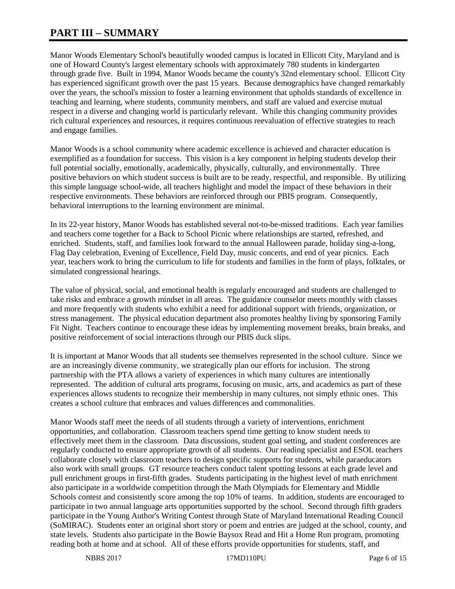# **PART III – SUMMARY**

Manor Woods Elementary School's beautifully wooded campus is located in Ellicott City, Maryland and is one of Howard County's largest elementary schools with approximately 780 students in kindergarten through grade five. Built in 1994, Manor Woods became the county's 32nd elementary school. Ellicott City has experienced significant growth over the past 15 years. Because demographics have changed remarkably over the years, the school's mission to foster a learning environment that upholds standards of excellence in teaching and learning, where students, community members, and staff are valued and exercise mutual respect in a diverse and changing world is particularly relevant. While this changing community provides rich cultural experiences and resources, it requires continuous reevaluation of effective strategies to reach and engage families.

Manor Woods is a school community where academic excellence is achieved and character education is exemplified as a foundation for success. This vision is a key component in helping students develop their full potential socially, emotionally, academically, physically, culturally, and environmentally. Three positive behaviors on which student success is built are to be ready, respectful, and responsible. By utilizing this simple language school-wide, all teachers highlight and model the impact of these behaviors in their respective environments. These behaviors are reinforced through our PBIS program. Consequently, behavioral interruptions to the learning environment are minimal.

In its 22-year history, Manor Woods has established several not-to-be-missed traditions. Each year families and teachers come together for a Back to School Picnic where relationships are started, refreshed, and enriched. Students, staff, and families look forward to the annual Halloween parade, holiday sing-a-long, Flag Day celebration, Evening of Excellence, Field Day, music concerts, and end of year picnics. Each year, teachers work to bring the curriculum to life for students and families in the form of plays, folktales, or simulated congressional hearings.

The value of physical, social, and emotional health is regularly encouraged and students are challenged to take risks and embrace a growth mindset in all areas. The guidance counselor meets monthly with classes and more frequently with students who exhibit a need for additional support with friends, organization, or stress management. The physical education department also promotes healthy living by sponsoring Family Fit Night. Teachers continue to encourage these ideas by implementing movement breaks, brain breaks, and positive reinforcement of social interactions through our PBIS duck slips.

It is important at Manor Woods that all students see themselves represented in the school culture. Since we are an increasingly diverse community, we strategically plan our efforts for inclusion. The strong partnership with the PTA allows a variety of experiences in which many cultures are intentionally represented. The addition of cultural arts programs, focusing on music, arts, and academics as part of these experiences allows students to recognize their membership in many cultures, not simply ethnic ones. This creates a school culture that embraces and values differences and commonalities.

Manor Woods staff meet the needs of all students through a variety of interventions, enrichment opportunities, and collaboration. Classroom teachers spend time getting to know student needs to effectively meet them in the classroom. Data discussions, student goal setting, and student conferences are regularly conducted to ensure appropriate growth of all students. Our reading specialist and ESOL teachers collaborate closely with classroom teachers to design specific supports for students, while paraeducators also work with small groups. GT resource teachers conduct talent spotting lessons at each grade level and pull enrichment groups in first-fifth grades. Students participating in the highest level of math enrichment also participate in a worldwide competition through the Math Olympiads for Elementary and Middle Schools contest and consistently score among the top 10% of teams. In addition, students are encouraged to participate in two annual language arts opportunities supported by the school. Second through fifth graders participate in the Young Author's Writing Contest through State of Maryland International Reading Council (SoMIRAC). Students enter an original short story or poem and entries are judged at the school, county, and state levels. Students also participate in the Bowie Baysox Read and Hit a Home Run program, promoting reading both at home and at school. All of these efforts provide opportunities for students, staff, and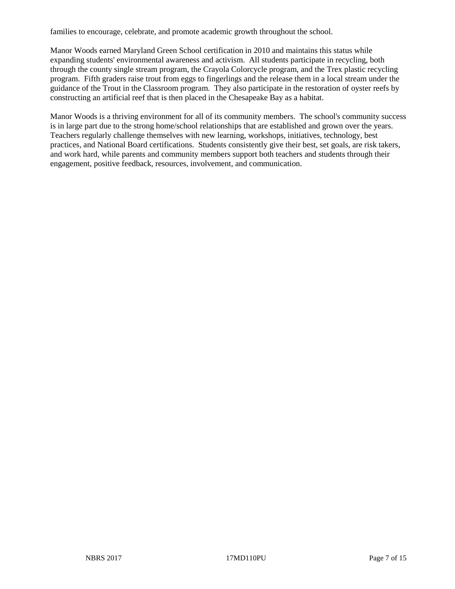families to encourage, celebrate, and promote academic growth throughout the school.

Manor Woods earned Maryland Green School certification in 2010 and maintains this status while expanding students' environmental awareness and activism. All students participate in recycling, both through the county single stream program, the Crayola Colorcycle program, and the Trex plastic recycling program. Fifth graders raise trout from eggs to fingerlings and the release them in a local stream under the guidance of the Trout in the Classroom program. They also participate in the restoration of oyster reefs by constructing an artificial reef that is then placed in the Chesapeake Bay as a habitat.

Manor Woods is a thriving environment for all of its community members. The school's community success is in large part due to the strong home/school relationships that are established and grown over the years. Teachers regularly challenge themselves with new learning, workshops, initiatives, technology, best practices, and National Board certifications. Students consistently give their best, set goals, are risk takers, and work hard, while parents and community members support both teachers and students through their engagement, positive feedback, resources, involvement, and communication.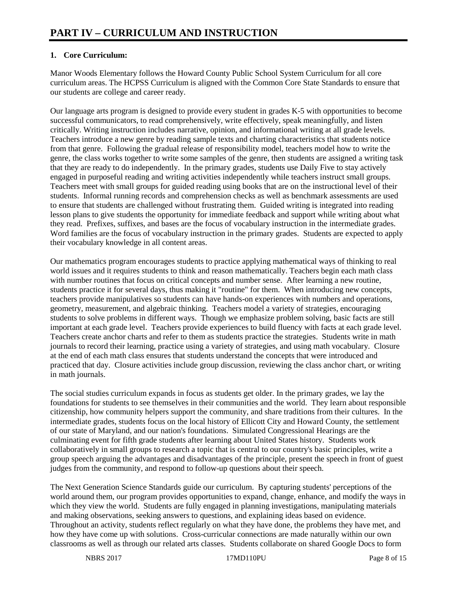## **1. Core Curriculum:**

Manor Woods Elementary follows the Howard County Public School System Curriculum for all core curriculum areas. The HCPSS Curriculum is aligned with the Common Core State Standards to ensure that our students are college and career ready.

Our language arts program is designed to provide every student in grades K-5 with opportunities to become successful communicators, to read comprehensively, write effectively, speak meaningfully, and listen critically. Writing instruction includes narrative, opinion, and informational writing at all grade levels. Teachers introduce a new genre by reading sample texts and charting characteristics that students notice from that genre. Following the gradual release of responsibility model, teachers model how to write the genre, the class works together to write some samples of the genre, then students are assigned a writing task that they are ready to do independently. In the primary grades, students use Daily Five to stay actively engaged in purposeful reading and writing activities independently while teachers instruct small groups. Teachers meet with small groups for guided reading using books that are on the instructional level of their students. Informal running records and comprehension checks as well as benchmark assessments are used to ensure that students are challenged without frustrating them. Guided writing is integrated into reading lesson plans to give students the opportunity for immediate feedback and support while writing about what they read. Prefixes, suffixes, and bases are the focus of vocabulary instruction in the intermediate grades. Word families are the focus of vocabulary instruction in the primary grades. Students are expected to apply their vocabulary knowledge in all content areas.

Our mathematics program encourages students to practice applying mathematical ways of thinking to real world issues and it requires students to think and reason mathematically. Teachers begin each math class with number routines that focus on critical concepts and number sense. After learning a new routine, students practice it for several days, thus making it "routine" for them. When introducing new concepts, teachers provide manipulatives so students can have hands-on experiences with numbers and operations, geometry, measurement, and algebraic thinking. Teachers model a variety of strategies, encouraging students to solve problems in different ways. Though we emphasize problem solving, basic facts are still important at each grade level. Teachers provide experiences to build fluency with facts at each grade level. Teachers create anchor charts and refer to them as students practice the strategies. Students write in math journals to record their learning, practice using a variety of strategies, and using math vocabulary. Closure at the end of each math class ensures that students understand the concepts that were introduced and practiced that day. Closure activities include group discussion, reviewing the class anchor chart, or writing in math journals.

The social studies curriculum expands in focus as students get older. In the primary grades, we lay the foundations for students to see themselves in their communities and the world. They learn about responsible citizenship, how community helpers support the community, and share traditions from their cultures. In the intermediate grades, students focus on the local history of Ellicott City and Howard County, the settlement of our state of Maryland, and our nation's foundations. Simulated Congressional Hearings are the culminating event for fifth grade students after learning about United States history. Students work collaboratively in small groups to research a topic that is central to our country's basic principles, write a group speech arguing the advantages and disadvantages of the principle, present the speech in front of guest judges from the community, and respond to follow-up questions about their speech.

The Next Generation Science Standards guide our curriculum. By capturing students' perceptions of the world around them, our program provides opportunities to expand, change, enhance, and modify the ways in which they view the world. Students are fully engaged in planning investigations, manipulating materials and making observations, seeking answers to questions, and explaining ideas based on evidence. Throughout an activity, students reflect regularly on what they have done, the problems they have met, and how they have come up with solutions. Cross-curricular connections are made naturally within our own classrooms as well as through our related arts classes. Students collaborate on shared Google Docs to form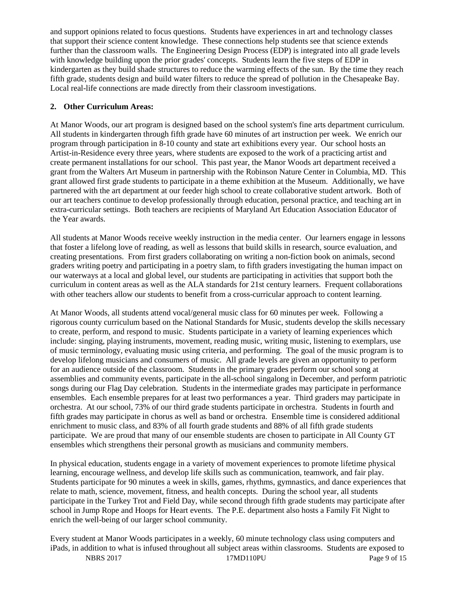and support opinions related to focus questions. Students have experiences in art and technology classes that support their science content knowledge. These connections help students see that science extends further than the classroom walls. The Engineering Design Process (EDP) is integrated into all grade levels with knowledge building upon the prior grades' concepts. Students learn the five steps of EDP in kindergarten as they build shade structures to reduce the warming effects of the sun. By the time they reach fifth grade, students design and build water filters to reduce the spread of pollution in the Chesapeake Bay. Local real-life connections are made directly from their classroom investigations.

### **2. Other Curriculum Areas:**

At Manor Woods, our art program is designed based on the school system's fine arts department curriculum. All students in kindergarten through fifth grade have 60 minutes of art instruction per week. We enrich our program through participation in 8-10 county and state art exhibitions every year. Our school hosts an Artist-in-Residence every three years, where students are exposed to the work of a practicing artist and create permanent installations for our school. This past year, the Manor Woods art department received a grant from the Walters Art Museum in partnership with the Robinson Nature Center in Columbia, MD. This grant allowed first grade students to participate in a theme exhibition at the Museum. Additionally, we have partnered with the art department at our feeder high school to create collaborative student artwork. Both of our art teachers continue to develop professionally through education, personal practice, and teaching art in extra-curricular settings. Both teachers are recipients of Maryland Art Education Association Educator of the Year awards.

All students at Manor Woods receive weekly instruction in the media center. Our learners engage in lessons that foster a lifelong love of reading, as well as lessons that build skills in research, source evaluation, and creating presentations. From first graders collaborating on writing a non-fiction book on animals, second graders writing poetry and participating in a poetry slam, to fifth graders investigating the human impact on our waterways at a local and global level, our students are participating in activities that support both the curriculum in content areas as well as the ALA standards for 21st century learners. Frequent collaborations with other teachers allow our students to benefit from a cross-curricular approach to content learning.

At Manor Woods, all students attend vocal/general music class for 60 minutes per week. Following a rigorous county curriculum based on the National Standards for Music, students develop the skills necessary to create, perform, and respond to music. Students participate in a variety of learning experiences which include: singing, playing instruments, movement, reading music, writing music, listening to exemplars, use of music terminology, evaluating music using criteria, and performing. The goal of the music program is to develop lifelong musicians and consumers of music. All grade levels are given an opportunity to perform for an audience outside of the classroom. Students in the primary grades perform our school song at assemblies and community events, participate in the all-school singalong in December, and perform patriotic songs during our Flag Day celebration. Students in the intermediate grades may participate in performance ensembles. Each ensemble prepares for at least two performances a year. Third graders may participate in orchestra. At our school, 73% of our third grade students participate in orchestra. Students in fourth and fifth grades may participate in chorus as well as band or orchestra. Ensemble time is considered additional enrichment to music class, and 83% of all fourth grade students and 88% of all fifth grade students participate. We are proud that many of our ensemble students are chosen to participate in All County GT ensembles which strengthens their personal growth as musicians and community members.

In physical education, students engage in a variety of movement experiences to promote lifetime physical learning, encourage wellness, and develop life skills such as communication, teamwork, and fair play. Students participate for 90 minutes a week in skills, games, rhythms, gymnastics, and dance experiences that relate to math, science, movement, fitness, and health concepts. During the school year, all students participate in the Turkey Trot and Field Day, while second through fifth grade students may participate after school in Jump Rope and Hoops for Heart events. The P.E. department also hosts a Family Fit Night to enrich the well-being of our larger school community.

Every student at Manor Woods participates in a weekly, 60 minute technology class using computers and iPads, in addition to what is infused throughout all subject areas within classrooms. Students are exposed to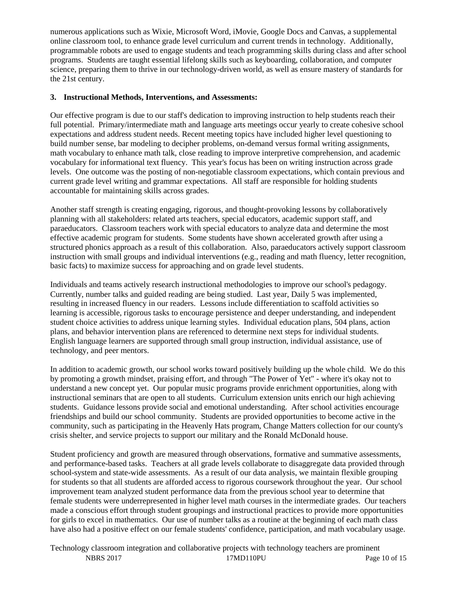numerous applications such as Wixie, Microsoft Word, iMovie, Google Docs and Canvas, a supplemental online classroom tool, to enhance grade level curriculum and current trends in technology. Additionally, programmable robots are used to engage students and teach programming skills during class and after school programs. Students are taught essential lifelong skills such as keyboarding, collaboration, and computer science, preparing them to thrive in our technology-driven world, as well as ensure mastery of standards for the 21st century.

### **3. Instructional Methods, Interventions, and Assessments:**

Our effective program is due to our staff's dedication to improving instruction to help students reach their full potential. Primary/intermediate math and language arts meetings occur yearly to create cohesive school expectations and address student needs. Recent meeting topics have included higher level questioning to build number sense, bar modeling to decipher problems, on-demand versus formal writing assignments, math vocabulary to enhance math talk, close reading to improve interpretive comprehension, and academic vocabulary for informational text fluency. This year's focus has been on writing instruction across grade levels. One outcome was the posting of non-negotiable classroom expectations, which contain previous and current grade level writing and grammar expectations. All staff are responsible for holding students accountable for maintaining skills across grades.

Another staff strength is creating engaging, rigorous, and thought-provoking lessons by collaboratively planning with all stakeholders: related arts teachers, special educators, academic support staff, and paraeducators. Classroom teachers work with special educators to analyze data and determine the most effective academic program for students. Some students have shown accelerated growth after using a structured phonics approach as a result of this collaboration. Also, paraeducators actively support classroom instruction with small groups and individual interventions (e.g., reading and math fluency, letter recognition, basic facts) to maximize success for approaching and on grade level students.

Individuals and teams actively research instructional methodologies to improve our school's pedagogy. Currently, number talks and guided reading are being studied. Last year, Daily 5 was implemented, resulting in increased fluency in our readers. Lessons include differentiation to scaffold activities so learning is accessible, rigorous tasks to encourage persistence and deeper understanding, and independent student choice activities to address unique learning styles. Individual education plans, 504 plans, action plans, and behavior intervention plans are referenced to determine next steps for individual students. English language learners are supported through small group instruction, individual assistance, use of technology, and peer mentors.

In addition to academic growth, our school works toward positively building up the whole child. We do this by promoting a growth mindset, praising effort, and through "The Power of Yet" - where it's okay not to understand a new concept yet. Our popular music programs provide enrichment opportunities, along with instructional seminars that are open to all students. Curriculum extension units enrich our high achieving students. Guidance lessons provide social and emotional understanding. After school activities encourage friendships and build our school community. Students are provided opportunities to become active in the community, such as participating in the Heavenly Hats program, Change Matters collection for our county's crisis shelter, and service projects to support our military and the Ronald McDonald house.

Student proficiency and growth are measured through observations, formative and summative assessments, and performance-based tasks. Teachers at all grade levels collaborate to disaggregate data provided through school-system and state-wide assessments. As a result of our data analysis, we maintain flexible grouping for students so that all students are afforded access to rigorous coursework throughout the year. Our school improvement team analyzed student performance data from the previous school year to determine that female students were underrepresented in higher level math courses in the intermediate grades. Our teachers made a conscious effort through student groupings and instructional practices to provide more opportunities for girls to excel in mathematics. Our use of number talks as a routine at the beginning of each math class have also had a positive effect on our female students' confidence, participation, and math vocabulary usage.

NBRS 2017 17MD110PU Page 10 of 15 Technology classroom integration and collaborative projects with technology teachers are prominent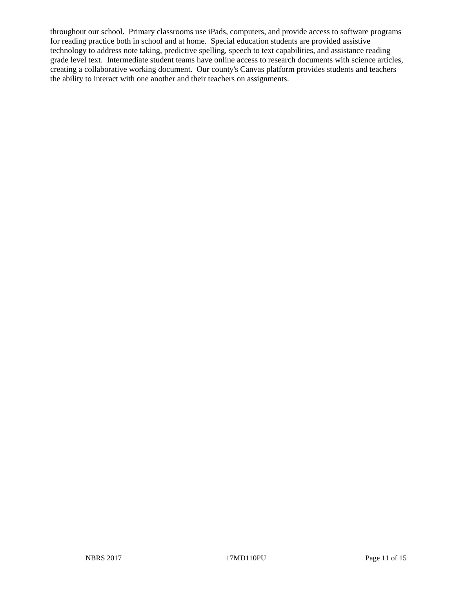throughout our school. Primary classrooms use iPads, computers, and provide access to software programs for reading practice both in school and at home. Special education students are provided assistive technology to address note taking, predictive spelling, speech to text capabilities, and assistance reading grade level text. Intermediate student teams have online access to research documents with science articles, creating a collaborative working document. Our county's Canvas platform provides students and teachers the ability to interact with one another and their teachers on assignments.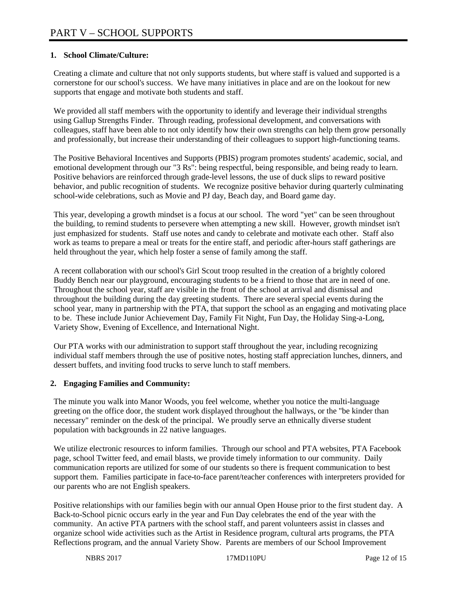## **1. School Climate/Culture:**

Creating a climate and culture that not only supports students, but where staff is valued and supported is a cornerstone for our school's success. We have many initiatives in place and are on the lookout for new supports that engage and motivate both students and staff.

We provided all staff members with the opportunity to identify and leverage their individual strengths using Gallup Strengths Finder. Through reading, professional development, and conversations with colleagues, staff have been able to not only identify how their own strengths can help them grow personally and professionally, but increase their understanding of their colleagues to support high-functioning teams.

The Positive Behavioral Incentives and Supports (PBIS) program promotes students' academic, social, and emotional development through our "3 Rs": being respectful, being responsible, and being ready to learn. Positive behaviors are reinforced through grade-level lessons, the use of duck slips to reward positive behavior, and public recognition of students. We recognize positive behavior during quarterly culminating school-wide celebrations, such as Movie and PJ day, Beach day, and Board game day.

This year, developing a growth mindset is a focus at our school. The word "yet" can be seen throughout the building, to remind students to persevere when attempting a new skill. However, growth mindset isn't just emphasized for students. Staff use notes and candy to celebrate and motivate each other. Staff also work as teams to prepare a meal or treats for the entire staff, and periodic after-hours staff gatherings are held throughout the year, which help foster a sense of family among the staff.

A recent collaboration with our school's Girl Scout troop resulted in the creation of a brightly colored Buddy Bench near our playground, encouraging students to be a friend to those that are in need of one. Throughout the school year, staff are visible in the front of the school at arrival and dismissal and throughout the building during the day greeting students. There are several special events during the school year, many in partnership with the PTA, that support the school as an engaging and motivating place to be. These include Junior Achievement Day, Family Fit Night, Fun Day, the Holiday Sing-a-Long, Variety Show, Evening of Excellence, and International Night.

Our PTA works with our administration to support staff throughout the year, including recognizing individual staff members through the use of positive notes, hosting staff appreciation lunches, dinners, and dessert buffets, and inviting food trucks to serve lunch to staff members.

### **2. Engaging Families and Community:**

The minute you walk into Manor Woods, you feel welcome, whether you notice the multi-language greeting on the office door, the student work displayed throughout the hallways, or the "be kinder than necessary" reminder on the desk of the principal. We proudly serve an ethnically diverse student population with backgrounds in 22 native languages.

We utilize electronic resources to inform families. Through our school and PTA websites, PTA Facebook page, school Twitter feed, and email blasts, we provide timely information to our community. Daily communication reports are utilized for some of our students so there is frequent communication to best support them. Families participate in face-to-face parent/teacher conferences with interpreters provided for our parents who are not English speakers.

Positive relationships with our families begin with our annual Open House prior to the first student day. A Back-to-School picnic occurs early in the year and Fun Day celebrates the end of the year with the community. An active PTA partners with the school staff, and parent volunteers assist in classes and organize school wide activities such as the Artist in Residence program, cultural arts programs, the PTA Reflections program, and the annual Variety Show. Parents are members of our School Improvement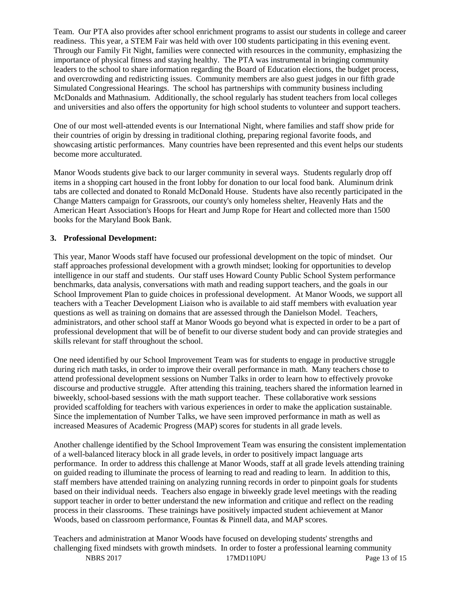Team. Our PTA also provides after school enrichment programs to assist our students in college and career readiness. This year, a STEM Fair was held with over 100 students participating in this evening event. Through our Family Fit Night, families were connected with resources in the community, emphasizing the importance of physical fitness and staying healthy. The PTA was instrumental in bringing community leaders to the school to share information regarding the Board of Education elections, the budget process, and overcrowding and redistricting issues. Community members are also guest judges in our fifth grade Simulated Congressional Hearings. The school has partnerships with community business including McDonalds and Mathnasium. Additionally, the school regularly has student teachers from local colleges and universities and also offers the opportunity for high school students to volunteer and support teachers.

One of our most well-attended events is our International Night, where families and staff show pride for their countries of origin by dressing in traditional clothing, preparing regional favorite foods, and showcasing artistic performances. Many countries have been represented and this event helps our students become more acculturated.

Manor Woods students give back to our larger community in several ways. Students regularly drop off items in a shopping cart housed in the front lobby for donation to our local food bank. Aluminum drink tabs are collected and donated to Ronald McDonald House. Students have also recently participated in the Change Matters campaign for Grassroots, our county's only homeless shelter, Heavenly Hats and the American Heart Association's Hoops for Heart and Jump Rope for Heart and collected more than 1500 books for the Maryland Book Bank.

#### **3. Professional Development:**

This year, Manor Woods staff have focused our professional development on the topic of mindset. Our staff approaches professional development with a growth mindset; looking for opportunities to develop intelligence in our staff and students. Our staff uses Howard County Public School System performance benchmarks, data analysis, conversations with math and reading support teachers, and the goals in our School Improvement Plan to guide choices in professional development. At Manor Woods, we support all teachers with a Teacher Development Liaison who is available to aid staff members with evaluation year questions as well as training on domains that are assessed through the Danielson Model. Teachers, administrators, and other school staff at Manor Woods go beyond what is expected in order to be a part of professional development that will be of benefit to our diverse student body and can provide strategies and skills relevant for staff throughout the school.

One need identified by our School Improvement Team was for students to engage in productive struggle during rich math tasks, in order to improve their overall performance in math. Many teachers chose to attend professional development sessions on Number Talks in order to learn how to effectively provoke discourse and productive struggle. After attending this training, teachers shared the information learned in biweekly, school-based sessions with the math support teacher. These collaborative work sessions provided scaffolding for teachers with various experiences in order to make the application sustainable. Since the implementation of Number Talks, we have seen improved performance in math as well as increased Measures of Academic Progress (MAP) scores for students in all grade levels.

Another challenge identified by the School Improvement Team was ensuring the consistent implementation of a well-balanced literacy block in all grade levels, in order to positively impact language arts performance. In order to address this challenge at Manor Woods, staff at all grade levels attending training on guided reading to illuminate the process of learning to read and reading to learn. In addition to this, staff members have attended training on analyzing running records in order to pinpoint goals for students based on their individual needs. Teachers also engage in biweekly grade level meetings with the reading support teacher in order to better understand the new information and critique and reflect on the reading process in their classrooms. These trainings have positively impacted student achievement at Manor Woods, based on classroom performance, Fountas & Pinnell data, and MAP scores.

Teachers and administration at Manor Woods have focused on developing students' strengths and challenging fixed mindsets with growth mindsets. In order to foster a professional learning community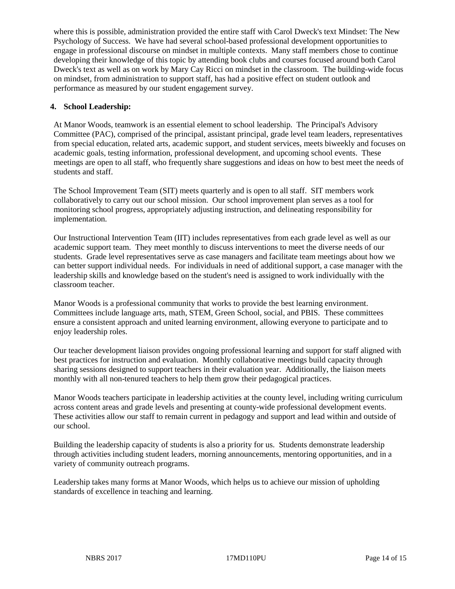where this is possible, administration provided the entire staff with Carol Dweck's text Mindset: The New Psychology of Success. We have had several school-based professional development opportunities to engage in professional discourse on mindset in multiple contexts. Many staff members chose to continue developing their knowledge of this topic by attending book clubs and courses focused around both Carol Dweck's text as well as on work by Mary Cay Ricci on mindset in the classroom. The building-wide focus on mindset, from administration to support staff, has had a positive effect on student outlook and performance as measured by our student engagement survey.

#### **4. School Leadership:**

At Manor Woods, teamwork is an essential element to school leadership. The Principal's Advisory Committee (PAC), comprised of the principal, assistant principal, grade level team leaders, representatives from special education, related arts, academic support, and student services, meets biweekly and focuses on academic goals, testing information, professional development, and upcoming school events. These meetings are open to all staff, who frequently share suggestions and ideas on how to best meet the needs of students and staff.

The School Improvement Team (SIT) meets quarterly and is open to all staff. SIT members work collaboratively to carry out our school mission. Our school improvement plan serves as a tool for monitoring school progress, appropriately adjusting instruction, and delineating responsibility for implementation.

Our Instructional Intervention Team (IIT) includes representatives from each grade level as well as our academic support team. They meet monthly to discuss interventions to meet the diverse needs of our students. Grade level representatives serve as case managers and facilitate team meetings about how we can better support individual needs. For individuals in need of additional support, a case manager with the leadership skills and knowledge based on the student's need is assigned to work individually with the classroom teacher.

Manor Woods is a professional community that works to provide the best learning environment. Committees include language arts, math, STEM, Green School, social, and PBIS. These committees ensure a consistent approach and united learning environment, allowing everyone to participate and to enjoy leadership roles.

Our teacher development liaison provides ongoing professional learning and support for staff aligned with best practices for instruction and evaluation. Monthly collaborative meetings build capacity through sharing sessions designed to support teachers in their evaluation year. Additionally, the liaison meets monthly with all non-tenured teachers to help them grow their pedagogical practices.

Manor Woods teachers participate in leadership activities at the county level, including writing curriculum across content areas and grade levels and presenting at county-wide professional development events. These activities allow our staff to remain current in pedagogy and support and lead within and outside of our school.

Building the leadership capacity of students is also a priority for us. Students demonstrate leadership through activities including student leaders, morning announcements, mentoring opportunities, and in a variety of community outreach programs.

Leadership takes many forms at Manor Woods, which helps us to achieve our mission of upholding standards of excellence in teaching and learning.